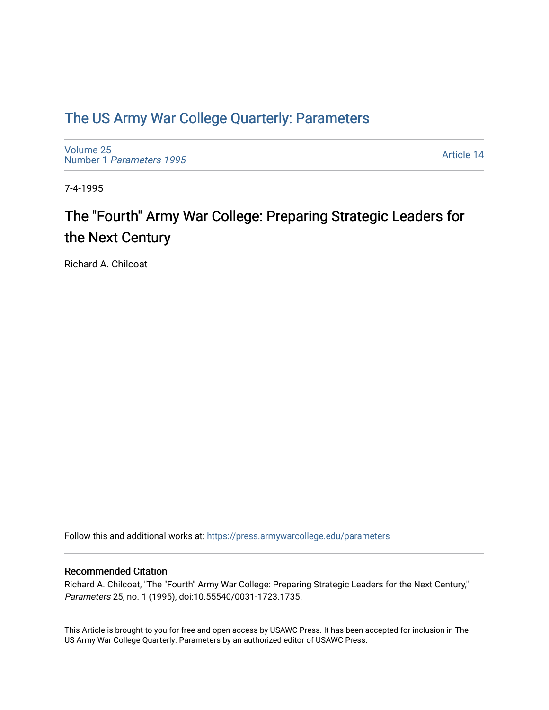## [The US Army War College Quarterly: Parameters](https://press.armywarcollege.edu/parameters)

[Volume 25](https://press.armywarcollege.edu/parameters/vol25) Number 1 [Parameters 1995](https://press.armywarcollege.edu/parameters/vol25/iss1) 

[Article 14](https://press.armywarcollege.edu/parameters/vol25/iss1/14) 

7-4-1995

# The "Fourth" Army War College: Preparing Strategic Leaders for the Next Century

Richard A. Chilcoat

Follow this and additional works at: [https://press.armywarcollege.edu/parameters](https://press.armywarcollege.edu/parameters?utm_source=press.armywarcollege.edu%2Fparameters%2Fvol25%2Fiss1%2F14&utm_medium=PDF&utm_campaign=PDFCoverPages) 

#### Recommended Citation

Richard A. Chilcoat, "The "Fourth" Army War College: Preparing Strategic Leaders for the Next Century," Parameters 25, no. 1 (1995), doi:10.55540/0031-1723.1735.

This Article is brought to you for free and open access by USAWC Press. It has been accepted for inclusion in The US Army War College Quarterly: Parameters by an authorized editor of USAWC Press.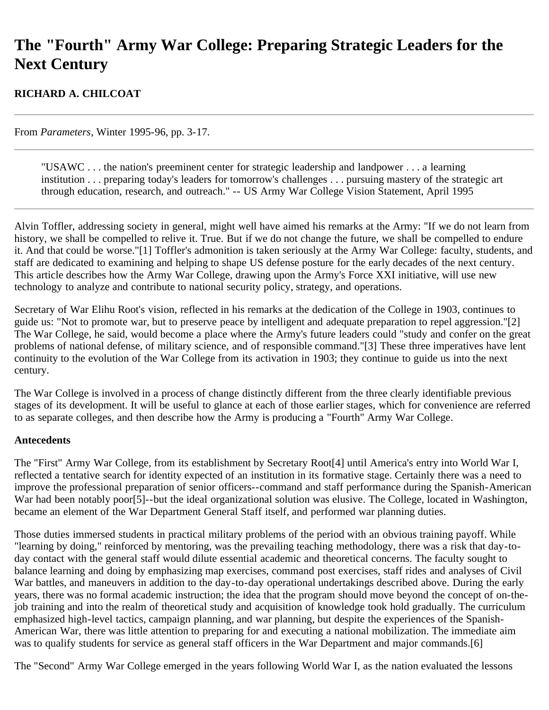## **The "Fourth" Army War College: Preparing Strategic Leaders for the Next Century**

## **RICHARD A. CHILCOAT**

From *Parameters*, Winter 1995-96, pp. 3-17.

"USAWC . . . the nation's preeminent center for strategic leadership and landpower . . . a learning institution . . . preparing today's leaders for tomorrow's challenges . . . pursuing mastery of the strategic art through education, research, and outreach." -- US Army War College Vision Statement, April 1995

Alvin Toffler, addressing society in general, might well have aimed his remarks at the Army: "If we do not learn from history, we shall be compelled to relive it. True. But if we do not change the future, we shall be compelled to endure it. And that could be worse."[1] Toffler's admonition is taken seriously at the Army War College: faculty, students, and staff are dedicated to examining and helping to shape US defense posture for the early decades of the next century. This article describes how the Army War College, drawing upon the Army's Force XXI initiative, will use new technology to analyze and contribute to national security policy, strategy, and operations.

Secretary of War Elihu Root's vision, reflected in his remarks at the dedication of the College in 1903, continues to guide us: "Not to promote war, but to preserve peace by intelligent and adequate preparation to repel aggression."[2] The War College, he said, would become a place where the Army's future leaders could "study and confer on the great problems of national defense, of military science, and of responsible command."[3] These three imperatives have lent continuity to the evolution of the War College from its activation in 1903; they continue to guide us into the next century.

The War College is involved in a process of change distinctly different from the three clearly identifiable previous stages of its development. It will be useful to glance at each of those earlier stages, which for convenience are referred to as separate colleges, and then describe how the Army is producing a "Fourth" Army War College.

#### **Antecedents**

The "First" Army War College, from its establishment by Secretary Root[4] until America's entry into World War I, reflected a tentative search for identity expected of an institution in its formative stage. Certainly there was a need to improve the professional preparation of senior officers--command and staff performance during the Spanish-American War had been notably poor [5]--but the ideal organizational solution was elusive. The College, located in Washington, became an element of the War Department General Staff itself, and performed war planning duties.

Those duties immersed students in practical military problems of the period with an obvious training payoff. While "learning by doing," reinforced by mentoring, was the prevailing teaching methodology, there was a risk that day-today contact with the general staff would dilute essential academic and theoretical concerns. The faculty sought to balance learning and doing by emphasizing map exercises, command post exercises, staff rides and analyses of Civil War battles, and maneuvers in addition to the day-to-day operational undertakings described above. During the early years, there was no formal academic instruction; the idea that the program should move beyond the concept of on-thejob training and into the realm of theoretical study and acquisition of knowledge took hold gradually. The curriculum emphasized high-level tactics, campaign planning, and war planning, but despite the experiences of the Spanish-American War, there was little attention to preparing for and executing a national mobilization. The immediate aim was to qualify students for service as general staff officers in the War Department and major commands.[6]

The "Second" Army War College emerged in the years following World War I, as the nation evaluated the lessons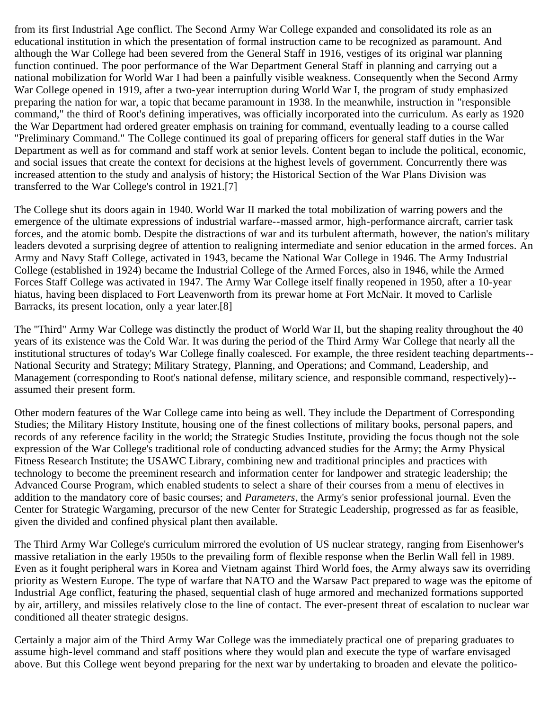from its first Industrial Age conflict. The Second Army War College expanded and consolidated its role as an educational institution in which the presentation of formal instruction came to be recognized as paramount. And although the War College had been severed from the General Staff in 1916, vestiges of its original war planning function continued. The poor performance of the War Department General Staff in planning and carrying out a national mobilization for World War I had been a painfully visible weakness. Consequently when the Second Army War College opened in 1919, after a two-year interruption during World War I, the program of study emphasized preparing the nation for war, a topic that became paramount in 1938. In the meanwhile, instruction in "responsible command," the third of Root's defining imperatives, was officially incorporated into the curriculum. As early as 1920 the War Department had ordered greater emphasis on training for command, eventually leading to a course called "Preliminary Command." The College continued its goal of preparing officers for general staff duties in the War Department as well as for command and staff work at senior levels. Content began to include the political, economic, and social issues that create the context for decisions at the highest levels of government. Concurrently there was increased attention to the study and analysis of history; the Historical Section of the War Plans Division was transferred to the War College's control in 1921.[7]

The College shut its doors again in 1940. World War II marked the total mobilization of warring powers and the emergence of the ultimate expressions of industrial warfare--massed armor, high-performance aircraft, carrier task forces, and the atomic bomb. Despite the distractions of war and its turbulent aftermath, however, the nation's military leaders devoted a surprising degree of attention to realigning intermediate and senior education in the armed forces. An Army and Navy Staff College, activated in 1943, became the National War College in 1946. The Army Industrial College (established in 1924) became the Industrial College of the Armed Forces, also in 1946, while the Armed Forces Staff College was activated in 1947. The Army War College itself finally reopened in 1950, after a 10-year hiatus, having been displaced to Fort Leavenworth from its prewar home at Fort McNair. It moved to Carlisle Barracks, its present location, only a year later.[8]

The "Third" Army War College was distinctly the product of World War II, but the shaping reality throughout the 40 years of its existence was the Cold War. It was during the period of the Third Army War College that nearly all the institutional structures of today's War College finally coalesced. For example, the three resident teaching departments-- National Security and Strategy; Military Strategy, Planning, and Operations; and Command, Leadership, and Management (corresponding to Root's national defense, military science, and responsible command, respectively)- assumed their present form.

Other modern features of the War College came into being as well. They include the Department of Corresponding Studies; the Military History Institute, housing one of the finest collections of military books, personal papers, and records of any reference facility in the world; the Strategic Studies Institute, providing the focus though not the sole expression of the War College's traditional role of conducting advanced studies for the Army; the Army Physical Fitness Research Institute; the USAWC Library, combining new and traditional principles and practices with technology to become the preeminent research and information center for landpower and strategic leadership; the Advanced Course Program, which enabled students to select a share of their courses from a menu of electives in addition to the mandatory core of basic courses; and *Parameters*, the Army's senior professional journal. Even the Center for Strategic Wargaming, precursor of the new Center for Strategic Leadership, progressed as far as feasible, given the divided and confined physical plant then available.

The Third Army War College's curriculum mirrored the evolution of US nuclear strategy, ranging from Eisenhower's massive retaliation in the early 1950s to the prevailing form of flexible response when the Berlin Wall fell in 1989. Even as it fought peripheral wars in Korea and Vietnam against Third World foes, the Army always saw its overriding priority as Western Europe. The type of warfare that NATO and the Warsaw Pact prepared to wage was the epitome of Industrial Age conflict, featuring the phased, sequential clash of huge armored and mechanized formations supported by air, artillery, and missiles relatively close to the line of contact. The ever-present threat of escalation to nuclear war conditioned all theater strategic designs.

Certainly a major aim of the Third Army War College was the immediately practical one of preparing graduates to assume high-level command and staff positions where they would plan and execute the type of warfare envisaged above. But this College went beyond preparing for the next war by undertaking to broaden and elevate the politico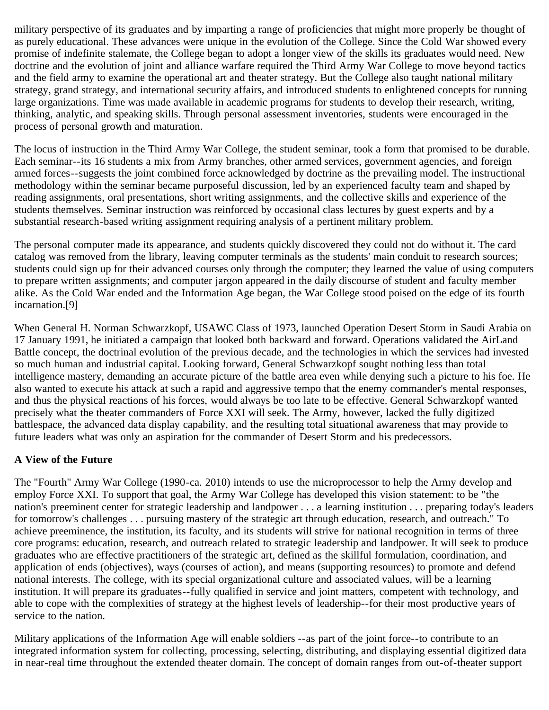military perspective of its graduates and by imparting a range of proficiencies that might more properly be thought of as purely educational. These advances were unique in the evolution of the College. Since the Cold War showed every promise of indefinite stalemate, the College began to adopt a longer view of the skills its graduates would need. New doctrine and the evolution of joint and alliance warfare required the Third Army War College to move beyond tactics and the field army to examine the operational art and theater strategy. But the College also taught national military strategy, grand strategy, and international security affairs, and introduced students to enlightened concepts for running large organizations. Time was made available in academic programs for students to develop their research, writing, thinking, analytic, and speaking skills. Through personal assessment inventories, students were encouraged in the process of personal growth and maturation.

The locus of instruction in the Third Army War College, the student seminar, took a form that promised to be durable. Each seminar--its 16 students a mix from Army branches, other armed services, government agencies, and foreign armed forces--suggests the joint combined force acknowledged by doctrine as the prevailing model. The instructional methodology within the seminar became purposeful discussion, led by an experienced faculty team and shaped by reading assignments, oral presentations, short writing assignments, and the collective skills and experience of the students themselves. Seminar instruction was reinforced by occasional class lectures by guest experts and by a substantial research-based writing assignment requiring analysis of a pertinent military problem.

The personal computer made its appearance, and students quickly discovered they could not do without it. The card catalog was removed from the library, leaving computer terminals as the students' main conduit to research sources; students could sign up for their advanced courses only through the computer; they learned the value of using computers to prepare written assignments; and computer jargon appeared in the daily discourse of student and faculty member alike. As the Cold War ended and the Information Age began, the War College stood poised on the edge of its fourth incarnation.[9]

When General H. Norman Schwarzkopf, USAWC Class of 1973, launched Operation Desert Storm in Saudi Arabia on 17 January 1991, he initiated a campaign that looked both backward and forward. Operations validated the AirLand Battle concept, the doctrinal evolution of the previous decade, and the technologies in which the services had invested so much human and industrial capital. Looking forward, General Schwarzkopf sought nothing less than total intelligence mastery, demanding an accurate picture of the battle area even while denying such a picture to his foe. He also wanted to execute his attack at such a rapid and aggressive tempo that the enemy commander's mental responses, and thus the physical reactions of his forces, would always be too late to be effective. General Schwarzkopf wanted precisely what the theater commanders of Force XXI will seek. The Army, however, lacked the fully digitized battlespace, the advanced data display capability, and the resulting total situational awareness that may provide to future leaders what was only an aspiration for the commander of Desert Storm and his predecessors.

### **A View of the Future**

The "Fourth" Army War College (1990-ca. 2010) intends to use the microprocessor to help the Army develop and employ Force XXI. To support that goal, the Army War College has developed this vision statement: to be "the nation's preeminent center for strategic leadership and landpower . . . a learning institution . . . preparing today's leaders for tomorrow's challenges . . . pursuing mastery of the strategic art through education, research, and outreach." To achieve preeminence, the institution, its faculty, and its students will strive for national recognition in terms of three core programs: education, research, and outreach related to strategic leadership and landpower. It will seek to produce graduates who are effective practitioners of the strategic art, defined as the skillful formulation, coordination, and application of ends (objectives), ways (courses of action), and means (supporting resources) to promote and defend national interests. The college, with its special organizational culture and associated values, will be a learning institution. It will prepare its graduates--fully qualified in service and joint matters, competent with technology, and able to cope with the complexities of strategy at the highest levels of leadership--for their most productive years of service to the nation.

Military applications of the Information Age will enable soldiers --as part of the joint force--to contribute to an integrated information system for collecting, processing, selecting, distributing, and displaying essential digitized data in near-real time throughout the extended theater domain. The concept of domain ranges from out-of-theater support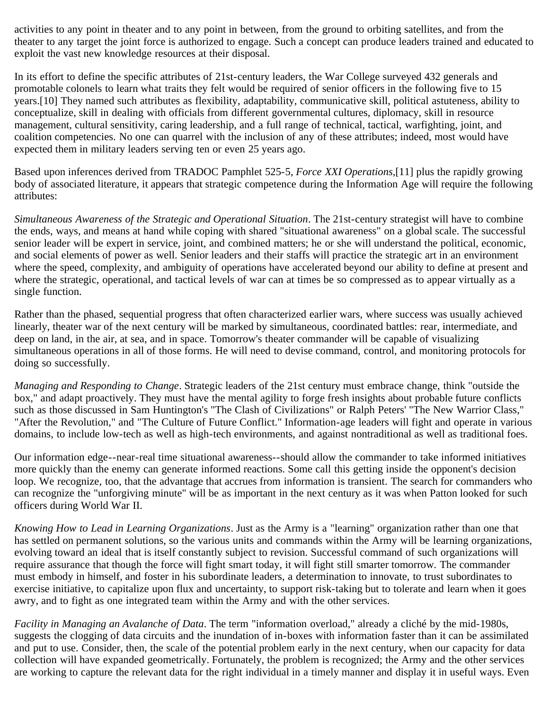activities to any point in theater and to any point in between, from the ground to orbiting satellites, and from the theater to any target the joint force is authorized to engage. Such a concept can produce leaders trained and educated to exploit the vast new knowledge resources at their disposal.

In its effort to define the specific attributes of 21st-century leaders, the War College surveyed 432 generals and promotable colonels to learn what traits they felt would be required of senior officers in the following five to 15 years.[10] They named such attributes as flexibility, adaptability, communicative skill, political astuteness, ability to conceptualize, skill in dealing with officials from different governmental cultures, diplomacy, skill in resource management, cultural sensitivity, caring leadership, and a full range of technical, tactical, warfighting, joint, and coalition competencies. No one can quarrel with the inclusion of any of these attributes; indeed, most would have expected them in military leaders serving ten or even 25 years ago.

Based upon inferences derived from TRADOC Pamphlet 525-5, *Force XXI Operations*,[11] plus the rapidly growing body of associated literature, it appears that strategic competence during the Information Age will require the following attributes:

*Simultaneous Awareness of the Strategic and Operational Situation*. The 21st-century strategist will have to combine the ends, ways, and means at hand while coping with shared "situational awareness" on a global scale. The successful senior leader will be expert in service, joint, and combined matters; he or she will understand the political, economic, and social elements of power as well. Senior leaders and their staffs will practice the strategic art in an environment where the speed, complexity, and ambiguity of operations have accelerated beyond our ability to define at present and where the strategic, operational, and tactical levels of war can at times be so compressed as to appear virtually as a single function.

Rather than the phased, sequential progress that often characterized earlier wars, where success was usually achieved linearly, theater war of the next century will be marked by simultaneous, coordinated battles: rear, intermediate, and deep on land, in the air, at sea, and in space. Tomorrow's theater commander will be capable of visualizing simultaneous operations in all of those forms. He will need to devise command, control, and monitoring protocols for doing so successfully.

*Managing and Responding to Change*. Strategic leaders of the 21st century must embrace change, think "outside the box," and adapt proactively. They must have the mental agility to forge fresh insights about probable future conflicts such as those discussed in Sam Huntington's "The Clash of Civilizations" or Ralph Peters' "The New Warrior Class," "After the Revolution," and "The Culture of Future Conflict." Information-age leaders will fight and operate in various domains, to include low-tech as well as high-tech environments, and against nontraditional as well as traditional foes.

Our information edge--near-real time situational awareness--should allow the commander to take informed initiatives more quickly than the enemy can generate informed reactions. Some call this getting inside the opponent's decision loop. We recognize, too, that the advantage that accrues from information is transient. The search for commanders who can recognize the "unforgiving minute" will be as important in the next century as it was when Patton looked for such officers during World War II.

*Knowing How to Lead in Learning Organizations*. Just as the Army is a "learning" organization rather than one that has settled on permanent solutions, so the various units and commands within the Army will be learning organizations, evolving toward an ideal that is itself constantly subject to revision. Successful command of such organizations will require assurance that though the force will fight smart today, it will fight still smarter tomorrow. The commander must embody in himself, and foster in his subordinate leaders, a determination to innovate, to trust subordinates to exercise initiative, to capitalize upon flux and uncertainty, to support risk-taking but to tolerate and learn when it goes awry, and to fight as one integrated team within the Army and with the other services.

*Facility in Managing an Avalanche of Data*. The term "information overload," already a cliché by the mid-1980s, suggests the clogging of data circuits and the inundation of in-boxes with information faster than it can be assimilated and put to use. Consider, then, the scale of the potential problem early in the next century, when our capacity for data collection will have expanded geometrically. Fortunately, the problem is recognized; the Army and the other services are working to capture the relevant data for the right individual in a timely manner and display it in useful ways. Even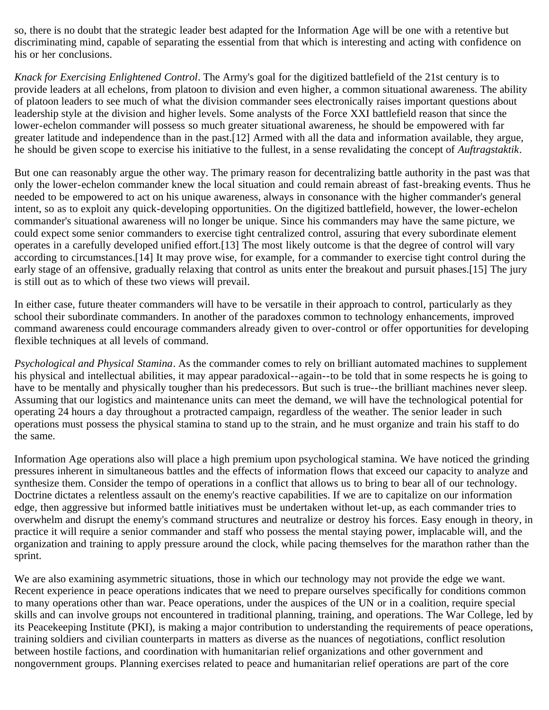so, there is no doubt that the strategic leader best adapted for the Information Age will be one with a retentive but discriminating mind, capable of separating the essential from that which is interesting and acting with confidence on his or her conclusions.

*Knack for Exercising Enlightened Control*. The Army's goal for the digitized battlefield of the 21st century is to provide leaders at all echelons, from platoon to division and even higher, a common situational awareness. The ability of platoon leaders to see much of what the division commander sees electronically raises important questions about leadership style at the division and higher levels. Some analysts of the Force XXI battlefield reason that since the lower-echelon commander will possess so much greater situational awareness, he should be empowered with far greater latitude and independence than in the past.[12] Armed with all the data and information available, they argue, he should be given scope to exercise his initiative to the fullest, in a sense revalidating the concept of *Auftragstaktik*.

But one can reasonably argue the other way. The primary reason for decentralizing battle authority in the past was that only the lower-echelon commander knew the local situation and could remain abreast of fast-breaking events. Thus he needed to be empowered to act on his unique awareness, always in consonance with the higher commander's general intent, so as to exploit any quick-developing opportunities. On the digitized battlefield, however, the lower-echelon commander's situational awareness will no longer be unique. Since his commanders may have the same picture, we could expect some senior commanders to exercise tight centralized control, assuring that every subordinate element operates in a carefully developed unified effort.[13] The most likely outcome is that the degree of control will vary according to circumstances.[14] It may prove wise, for example, for a commander to exercise tight control during the early stage of an offensive, gradually relaxing that control as units enter the breakout and pursuit phases.[15] The jury is still out as to which of these two views will prevail.

In either case, future theater commanders will have to be versatile in their approach to control, particularly as they school their subordinate commanders. In another of the paradoxes common to technology enhancements, improved command awareness could encourage commanders already given to over-control or offer opportunities for developing flexible techniques at all levels of command.

*Psychological and Physical Stamina*. As the commander comes to rely on brilliant automated machines to supplement his physical and intellectual abilities, it may appear paradoxical--again--to be told that in some respects he is going to have to be mentally and physically tougher than his predecessors. But such is true--the brilliant machines never sleep. Assuming that our logistics and maintenance units can meet the demand, we will have the technological potential for operating 24 hours a day throughout a protracted campaign, regardless of the weather. The senior leader in such operations must possess the physical stamina to stand up to the strain, and he must organize and train his staff to do the same.

Information Age operations also will place a high premium upon psychological stamina. We have noticed the grinding pressures inherent in simultaneous battles and the effects of information flows that exceed our capacity to analyze and synthesize them. Consider the tempo of operations in a conflict that allows us to bring to bear all of our technology. Doctrine dictates a relentless assault on the enemy's reactive capabilities. If we are to capitalize on our information edge, then aggressive but informed battle initiatives must be undertaken without let-up, as each commander tries to overwhelm and disrupt the enemy's command structures and neutralize or destroy his forces. Easy enough in theory, in practice it will require a senior commander and staff who possess the mental staying power, implacable will, and the organization and training to apply pressure around the clock, while pacing themselves for the marathon rather than the sprint.

We are also examining asymmetric situations, those in which our technology may not provide the edge we want. Recent experience in peace operations indicates that we need to prepare ourselves specifically for conditions common to many operations other than war. Peace operations, under the auspices of the UN or in a coalition, require special skills and can involve groups not encountered in traditional planning, training, and operations. The War College, led by its Peacekeeping Institute (PKI), is making a major contribution to understanding the requirements of peace operations, training soldiers and civilian counterparts in matters as diverse as the nuances of negotiations, conflict resolution between hostile factions, and coordination with humanitarian relief organizations and other government and nongovernment groups. Planning exercises related to peace and humanitarian relief operations are part of the core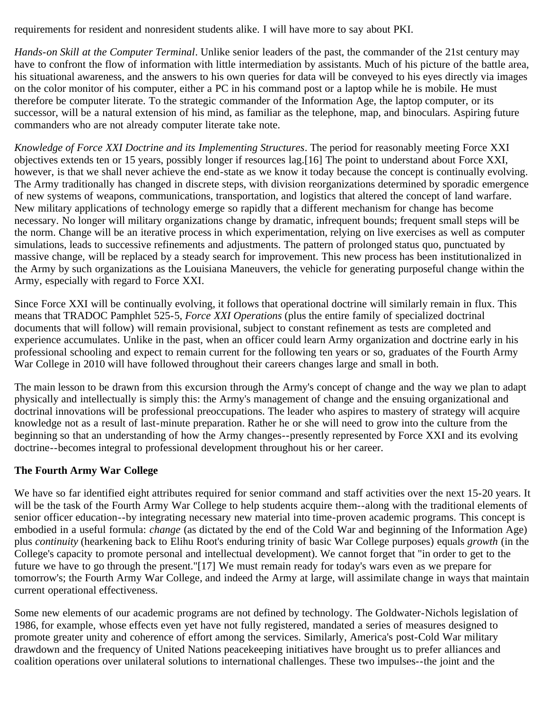requirements for resident and nonresident students alike. I will have more to say about PKI.

*Hands-on Skill at the Computer Terminal*. Unlike senior leaders of the past, the commander of the 21st century may have to confront the flow of information with little intermediation by assistants. Much of his picture of the battle area, his situational awareness, and the answers to his own queries for data will be conveyed to his eyes directly via images on the color monitor of his computer, either a PC in his command post or a laptop while he is mobile. He must therefore be computer literate. To the strategic commander of the Information Age, the laptop computer, or its successor, will be a natural extension of his mind, as familiar as the telephone, map, and binoculars. Aspiring future commanders who are not already computer literate take note.

*Knowledge of Force XXI Doctrine and its Implementing Structures*. The period for reasonably meeting Force XXI objectives extends ten or 15 years, possibly longer if resources lag.[16] The point to understand about Force XXI, however, is that we shall never achieve the end-state as we know it today because the concept is continually evolving. The Army traditionally has changed in discrete steps, with division reorganizations determined by sporadic emergence of new systems of weapons, communications, transportation, and logistics that altered the concept of land warfare. New military applications of technology emerge so rapidly that a different mechanism for change has become necessary. No longer will military organizations change by dramatic, infrequent bounds; frequent small steps will be the norm. Change will be an iterative process in which experimentation, relying on live exercises as well as computer simulations, leads to successive refinements and adjustments. The pattern of prolonged status quo, punctuated by massive change, will be replaced by a steady search for improvement. This new process has been institutionalized in the Army by such organizations as the Louisiana Maneuvers, the vehicle for generating purposeful change within the Army, especially with regard to Force XXI.

Since Force XXI will be continually evolving, it follows that operational doctrine will similarly remain in flux. This means that TRADOC Pamphlet 525-5, *Force XXI Operations* (plus the entire family of specialized doctrinal documents that will follow) will remain provisional, subject to constant refinement as tests are completed and experience accumulates. Unlike in the past, when an officer could learn Army organization and doctrine early in his professional schooling and expect to remain current for the following ten years or so, graduates of the Fourth Army War College in 2010 will have followed throughout their careers changes large and small in both.

The main lesson to be drawn from this excursion through the Army's concept of change and the way we plan to adapt physically and intellectually is simply this: the Army's management of change and the ensuing organizational and doctrinal innovations will be professional preoccupations. The leader who aspires to mastery of strategy will acquire knowledge not as a result of last-minute preparation. Rather he or she will need to grow into the culture from the beginning so that an understanding of how the Army changes--presently represented by Force XXI and its evolving doctrine--becomes integral to professional development throughout his or her career.

## **The Fourth Army War College**

We have so far identified eight attributes required for senior command and staff activities over the next 15-20 years. It will be the task of the Fourth Army War College to help students acquire them--along with the traditional elements of senior officer education--by integrating necessary new material into time-proven academic programs. This concept is embodied in a useful formula: *change* (as dictated by the end of the Cold War and beginning of the Information Age) plus *continuity* (hearkening back to Elihu Root's enduring trinity of basic War College purposes) equals *growth* (in the College's capacity to promote personal and intellectual development). We cannot forget that "in order to get to the future we have to go through the present."[17] We must remain ready for today's wars even as we prepare for tomorrow's; the Fourth Army War College, and indeed the Army at large, will assimilate change in ways that maintain current operational effectiveness.

Some new elements of our academic programs are not defined by technology. The Goldwater-Nichols legislation of 1986, for example, whose effects even yet have not fully registered, mandated a series of measures designed to promote greater unity and coherence of effort among the services. Similarly, America's post-Cold War military drawdown and the frequency of United Nations peacekeeping initiatives have brought us to prefer alliances and coalition operations over unilateral solutions to international challenges. These two impulses--the joint and the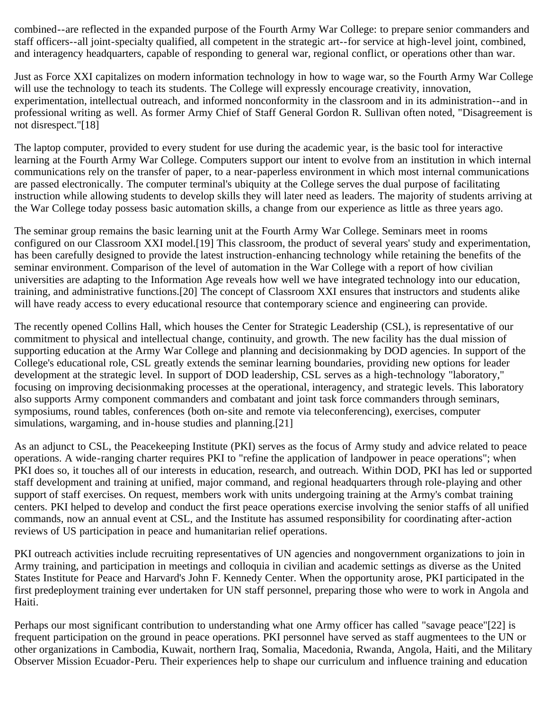combined--are reflected in the expanded purpose of the Fourth Army War College: to prepare senior commanders and staff officers--all joint-specialty qualified, all competent in the strategic art--for service at high-level joint, combined, and interagency headquarters, capable of responding to general war, regional conflict, or operations other than war.

Just as Force XXI capitalizes on modern information technology in how to wage war, so the Fourth Army War College will use the technology to teach its students. The College will expressly encourage creativity, innovation, experimentation, intellectual outreach, and informed nonconformity in the classroom and in its administration--and in professional writing as well. As former Army Chief of Staff General Gordon R. Sullivan often noted, "Disagreement is not disrespect."[18]

The laptop computer, provided to every student for use during the academic year, is the basic tool for interactive learning at the Fourth Army War College. Computers support our intent to evolve from an institution in which internal communications rely on the transfer of paper, to a near-paperless environment in which most internal communications are passed electronically. The computer terminal's ubiquity at the College serves the dual purpose of facilitating instruction while allowing students to develop skills they will later need as leaders. The majority of students arriving at the War College today possess basic automation skills, a change from our experience as little as three years ago.

The seminar group remains the basic learning unit at the Fourth Army War College. Seminars meet in rooms configured on our Classroom XXI model.[19] This classroom, the product of several years' study and experimentation, has been carefully designed to provide the latest instruction-enhancing technology while retaining the benefits of the seminar environment. Comparison of the level of automation in the War College with a report of how civilian universities are adapting to the Information Age reveals how well we have integrated technology into our education, training, and administrative functions.[20] The concept of Classroom XXI ensures that instructors and students alike will have ready access to every educational resource that contemporary science and engineering can provide.

The recently opened Collins Hall, which houses the Center for Strategic Leadership (CSL), is representative of our commitment to physical and intellectual change, continuity, and growth. The new facility has the dual mission of supporting education at the Army War College and planning and decisionmaking by DOD agencies. In support of the College's educational role, CSL greatly extends the seminar learning boundaries, providing new options for leader development at the strategic level. In support of DOD leadership, CSL serves as a high-technology "laboratory," focusing on improving decisionmaking processes at the operational, interagency, and strategic levels. This laboratory also supports Army component commanders and combatant and joint task force commanders through seminars, symposiums, round tables, conferences (both on-site and remote via teleconferencing), exercises, computer simulations, wargaming, and in-house studies and planning.[21]

As an adjunct to CSL, the Peacekeeping Institute (PKI) serves as the focus of Army study and advice related to peace operations. A wide-ranging charter requires PKI to "refine the application of landpower in peace operations"; when PKI does so, it touches all of our interests in education, research, and outreach. Within DOD, PKI has led or supported staff development and training at unified, major command, and regional headquarters through role-playing and other support of staff exercises. On request, members work with units undergoing training at the Army's combat training centers. PKI helped to develop and conduct the first peace operations exercise involving the senior staffs of all unified commands, now an annual event at CSL, and the Institute has assumed responsibility for coordinating after-action reviews of US participation in peace and humanitarian relief operations.

PKI outreach activities include recruiting representatives of UN agencies and nongovernment organizations to join in Army training, and participation in meetings and colloquia in civilian and academic settings as diverse as the United States Institute for Peace and Harvard's John F. Kennedy Center. When the opportunity arose, PKI participated in the first predeployment training ever undertaken for UN staff personnel, preparing those who were to work in Angola and Haiti.

Perhaps our most significant contribution to understanding what one Army officer has called "savage peace"[22] is frequent participation on the ground in peace operations. PKI personnel have served as staff augmentees to the UN or other organizations in Cambodia, Kuwait, northern Iraq, Somalia, Macedonia, Rwanda, Angola, Haiti, and the Military Observer Mission Ecuador-Peru. Their experiences help to shape our curriculum and influence training and education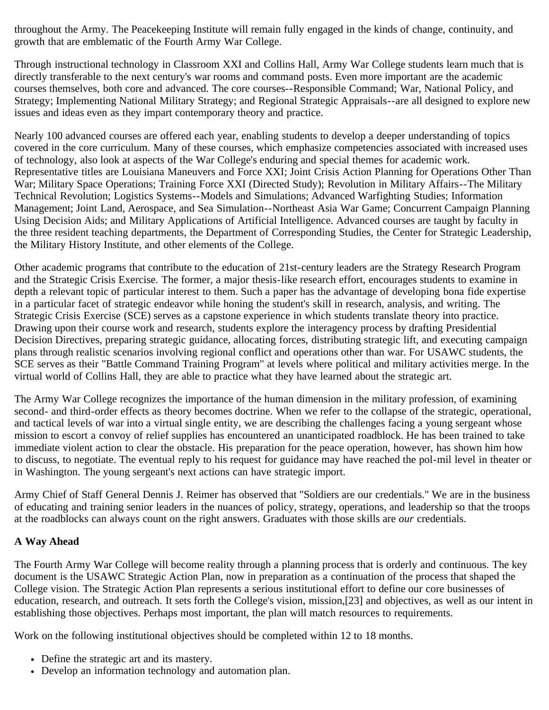throughout the Army. The Peacekeeping Institute will remain fully engaged in the kinds of change, continuity, and growth that are emblematic of the Fourth Army War College.

Through instructional technology in Classroom XXI and Collins Hall, Army War College students learn much that is directly transferable to the next century's war rooms and command posts. Even more important are the academic courses themselves, both core and advanced. The core courses--Responsible Command; War, National Policy, and Strategy; Implementing National Military Strategy; and Regional Strategic Appraisals--are all designed to explore new issues and ideas even as they impart contemporary theory and practice.

Nearly 100 advanced courses are offered each year, enabling students to develop a deeper understanding of topics covered in the core curriculum. Many of these courses, which emphasize competencies associated with increased uses of technology, also look at aspects of the War College's enduring and special themes for academic work. Representative titles are Louisiana Maneuvers and Force XXI; Joint Crisis Action Planning for Operations Other Than War; Military Space Operations; Training Force XXI (Directed Study); Revolution in Military Affairs--The Military Technical Revolution; Logistics Systems--Models and Simulations; Advanced Warfighting Studies; Information Management; Joint Land, Aerospace, and Sea Simulation--Northeast Asia War Game; Concurrent Campaign Planning Using Decision Aids; and Military Applications of Artificial Intelligence. Advanced courses are taught by faculty in the three resident teaching departments, the Department of Corresponding Studies, the Center for Strategic Leadership, the Military History Institute, and other elements of the College.

Other academic programs that contribute to the education of 21st-century leaders are the Strategy Research Program and the Strategic Crisis Exercise. The former, a major thesis-like research effort, encourages students to examine in depth a relevant topic of particular interest to them. Such a paper has the advantage of developing bona fide expertise in a particular facet of strategic endeavor while honing the student's skill in research, analysis, and writing. The Strategic Crisis Exercise (SCE) serves as a capstone experience in which students translate theory into practice. Drawing upon their course work and research, students explore the interagency process by drafting Presidential Decision Directives, preparing strategic guidance, allocating forces, distributing strategic lift, and executing campaign plans through realistic scenarios involving regional conflict and operations other than war. For USAWC students, the SCE serves as their "Battle Command Training Program" at levels where political and military activities merge. In the virtual world of Collins Hall, they are able to practice what they have learned about the strategic art.

The Army War College recognizes the importance of the human dimension in the military profession, of examining second- and third-order effects as theory becomes doctrine. When we refer to the collapse of the strategic, operational, and tactical levels of war into a virtual single entity, we are describing the challenges facing a young sergeant whose mission to escort a convoy of relief supplies has encountered an unanticipated roadblock. He has been trained to take immediate violent action to clear the obstacle. His preparation for the peace operation, however, has shown him how to discuss, to negotiate. The eventual reply to his request for guidance may have reached the pol-mil level in theater or in Washington. The young sergeant's next actions can have strategic import.

Army Chief of Staff General Dennis J. Reimer has observed that "Soldiers are our credentials." We are in the business of educating and training senior leaders in the nuances of policy, strategy, operations, and leadership so that the troops at the roadblocks can always count on the right answers. Graduates with those skills are *our* credentials.

## **A Way Ahead**

The Fourth Army War College will become reality through a planning process that is orderly and continuous. The key document is the USAWC Strategic Action Plan, now in preparation as a continuation of the process that shaped the College vision. The Strategic Action Plan represents a serious institutional effort to define our core businesses of education, research, and outreach. It sets forth the College's vision, mission,[23] and objectives, as well as our intent in establishing those objectives. Perhaps most important, the plan will match resources to requirements.

Work on the following institutional objectives should be completed within 12 to 18 months.

- Define the strategic art and its mastery.
- Develop an information technology and automation plan.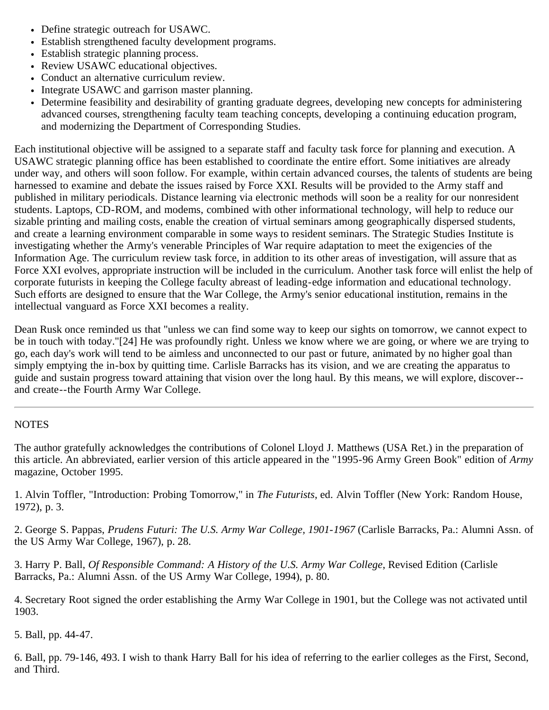- Define strategic outreach for USAWC.
- Establish strengthened faculty development programs.
- Establish strategic planning process.
- Review USAWC educational objectives.
- Conduct an alternative curriculum review.
- Integrate USAWC and garrison master planning.
- Determine feasibility and desirability of granting graduate degrees, developing new concepts for administering advanced courses, strengthening faculty team teaching concepts, developing a continuing education program, and modernizing the Department of Corresponding Studies.

Each institutional objective will be assigned to a separate staff and faculty task force for planning and execution. A USAWC strategic planning office has been established to coordinate the entire effort. Some initiatives are already under way, and others will soon follow. For example, within certain advanced courses, the talents of students are being harnessed to examine and debate the issues raised by Force XXI. Results will be provided to the Army staff and published in military periodicals. Distance learning via electronic methods will soon be a reality for our nonresident students. Laptops, CD-ROM, and modems, combined with other informational technology, will help to reduce our sizable printing and mailing costs, enable the creation of virtual seminars among geographically dispersed students, and create a learning environment comparable in some ways to resident seminars. The Strategic Studies Institute is investigating whether the Army's venerable Principles of War require adaptation to meet the exigencies of the Information Age. The curriculum review task force, in addition to its other areas of investigation, will assure that as Force XXI evolves, appropriate instruction will be included in the curriculum. Another task force will enlist the help of corporate futurists in keeping the College faculty abreast of leading-edge information and educational technology. Such efforts are designed to ensure that the War College, the Army's senior educational institution, remains in the intellectual vanguard as Force XXI becomes a reality.

Dean Rusk once reminded us that "unless we can find some way to keep our sights on tomorrow, we cannot expect to be in touch with today."[24] He was profoundly right. Unless we know where we are going, or where we are trying to go, each day's work will tend to be aimless and unconnected to our past or future, animated by no higher goal than simply emptying the in-box by quitting time. Carlisle Barracks has its vision, and we are creating the apparatus to guide and sustain progress toward attaining that vision over the long haul. By this means, we will explore, discover- and create--the Fourth Army War College.

### **NOTES**

The author gratefully acknowledges the contributions of Colonel Lloyd J. Matthews (USA Ret.) in the preparation of this article. An abbreviated, earlier version of this article appeared in the "1995-96 Army Green Book" edition of *Army* magazine, October 1995.

1. Alvin Toffler, "Introduction: Probing Tomorrow," in *The Futurists*, ed. Alvin Toffler (New York: Random House, 1972), p. 3.

2. George S. Pappas, *Prudens Futuri: The U.S. Army War College, 1901-1967* (Carlisle Barracks, Pa.: Alumni Assn. of the US Army War College, 1967), p. 28.

3. Harry P. Ball, *Of Responsible Command: A History of the U.S. Army War College*, Revised Edition (Carlisle Barracks, Pa.: Alumni Assn. of the US Army War College, 1994), p. 80.

4. Secretary Root signed the order establishing the Army War College in 1901, but the College was not activated until 1903.

5. Ball, pp. 44-47.

6. Ball, pp. 79-146, 493. I wish to thank Harry Ball for his idea of referring to the earlier colleges as the First, Second, and Third.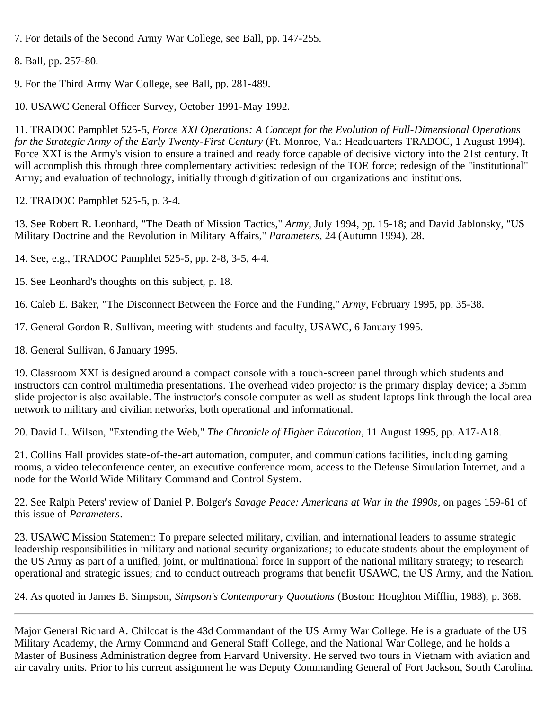7. For details of the Second Army War College, see Ball, pp. 147-255.

```
8. Ball, pp. 257-80.
```
9. For the Third Army War College, see Ball, pp. 281-489.

10. USAWC General Officer Survey, October 1991-May 1992.

11. TRADOC Pamphlet 525-5, *Force XXI Operations: A Concept for the Evolution of Full-Dimensional Operations for the Strategic Army of the Early Twenty-First Century* (Ft. Monroe, Va.: Headquarters TRADOC, 1 August 1994). Force XXI is the Army's vision to ensure a trained and ready force capable of decisive victory into the 21st century. It will accomplish this through three complementary activities: redesign of the TOE force; redesign of the "institutional" Army; and evaluation of technology, initially through digitization of our organizations and institutions.

12. TRADOC Pamphlet 525-5, p. 3-4.

13. See Robert R. Leonhard, "The Death of Mission Tactics," *Army*, July 1994, pp. 15-18; and David Jablonsky, "US Military Doctrine and the Revolution in Military Affairs," *Parameters*, 24 (Autumn 1994), 28.

14. See, e.g., TRADOC Pamphlet 525-5, pp. 2-8, 3-5, 4-4.

15. See Leonhard's thoughts on this subject, p. 18.

16. Caleb E. Baker, "The Disconnect Between the Force and the Funding," *Army*, February 1995, pp. 35-38.

17. General Gordon R. Sullivan, meeting with students and faculty, USAWC, 6 January 1995.

18. General Sullivan, 6 January 1995.

19. Classroom XXI is designed around a compact console with a touch-screen panel through which students and instructors can control multimedia presentations. The overhead video projector is the primary display device; a 35mm slide projector is also available. The instructor's console computer as well as student laptops link through the local area network to military and civilian networks, both operational and informational.

20. David L. Wilson, "Extending the Web," *The Chronicle of Higher Education*, 11 August 1995, pp. A17-A18.

21. Collins Hall provides state-of-the-art automation, computer, and communications facilities, including gaming rooms, a video teleconference center, an executive conference room, access to the Defense Simulation Internet, and a node for the World Wide Military Command and Control System.

22. See Ralph Peters' review of Daniel P. Bolger's *Savage Peace: Americans at War in the 1990s*, on pages 159-61 of this issue of *Parameters*.

23. USAWC Mission Statement: To prepare selected military, civilian, and international leaders to assume strategic leadership responsibilities in military and national security organizations; to educate students about the employment of the US Army as part of a unified, joint, or multinational force in support of the national military strategy; to research operational and strategic issues; and to conduct outreach programs that benefit USAWC, the US Army, and the Nation.

24. As quoted in James B. Simpson, *Simpson's Contemporary Quotations* (Boston: Houghton Mifflin, 1988), p. 368.

Major General Richard A. Chilcoat is the 43d Commandant of the US Army War College. He is a graduate of the US Military Academy, the Army Command and General Staff College, and the National War College, and he holds a Master of Business Administration degree from Harvard University. He served two tours in Vietnam with aviation and air cavalry units. Prior to his current assignment he was Deputy Commanding General of Fort Jackson, South Carolina.